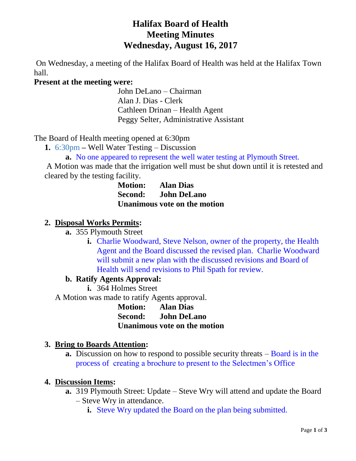# **Halifax Board of Health Meeting Minutes Wednesday, August 16, 2017**

On Wednesday, a meeting of the Halifax Board of Health was held at the Halifax Town hall.

# **Present at the meeting were:**

John DeLano – Chairman Alan J. Dias - Clerk Cathleen Drinan – Health Agent Peggy Selter, Administrative Assistant

The Board of Health meeting opened at 6:30pm

**1.** 6:30pm **–** Well Water Testing – Discussion

**a.** No one appeared to represent the well water testing at Plymouth Street.

A Motion was made that the irrigation well must be shut down until it is retested and cleared by the testing facility.

> **Motion: Alan Dias Second: John DeLano Unanimous vote on the motion**

# **2. Disposal Works Permits:**

- **a.** 355 Plymouth Street
	- **i.** Charlie Woodward, Steve Nelson, owner of the property, the Health Agent and the Board discussed the revised plan. Charlie Woodward will submit a new plan with the discussed revisions and Board of Health will send revisions to Phil Spath for review.

### **b. Ratify Agents Approval:**

**i.** 364 Holmes Street

A Motion was made to ratify Agents approval.

**Motion: Alan Dias Second: John DeLano Unanimous vote on the motion**

### **3. Bring to Boards Attention:**

**a.** Discussion on how to respond to possible security threats – Board is in the process of creating a brochure to present to the Selectmen's Office

### **4. Discussion Items:**

- **a.** 319 Plymouth Street: Update Steve Wry will attend and update the Board – Steve Wry in attendance.
	- **i.** Steve Wry updated the Board on the plan being submitted.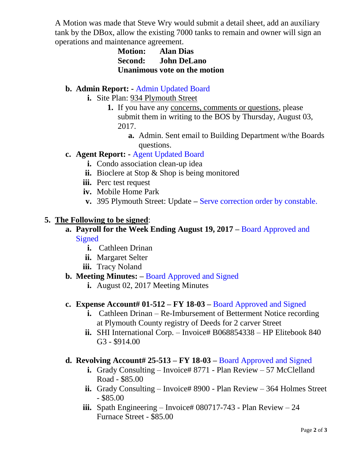A Motion was made that Steve Wry would submit a detail sheet, add an auxiliary tank by the DBox, allow the existing 7000 tanks to remain and owner will sign an operations and maintenance agreement.

# **Motion: Alan Dias Second: John DeLano Unanimous vote on the motion**

# **b. Admin Report: -** Admin Updated Board

- **i.** Site Plan: 934 Plymouth Street
	- **1.** If you have any concerns, comments or questions, please submit them in writing to the BOS by Thursday, August 03, 2017.
		- **a.** Admin. Sent email to Building Department w/the Boards questions.

# **c. Agent Report: -** Agent Updated Board

- **i.** Condo association clean-up idea
- **ii.** Bioclere at Stop & Shop is being monitored
- **iii.** Perc test request
- **iv.** Mobile Home Park
- **v.** 395 Plymouth Street: Update **–** Serve correction order by constable.

# **5. The Following to be signed**:

- **a. Payroll for the Week Ending August 19, 2017 –** Board Approved and Signed
	- **i.** Cathleen Drinan
	- **ii.** Margaret Selter
	- **iii.** Tracy Noland

# **b. Meeting Minutes: –** Board Approved and Signed

**i.** August 02, 2017 Meeting Minutes

### **c. Expense Account# 01-512 – FY 18-03 –** Board Approved and Signed

- **i.** Cathleen Drinan Re-Imbursement of Betterment Notice recording at Plymouth County registry of Deeds for 2 carver Street
- **ii.** SHI International Corp. Invoice# B068854338 HP Elitebook 840 G3 - \$914.00

### **d. Revolving Account# 25-513 – FY 18-03 –** Board Approved and Signed

- **i.** Grady Consulting Invoice# 8771 Plan Review 57 McClelland Road - \$85.00
- ii. Grady Consulting Invoice# 8900 Plan Review 364 Holmes Street - \$85.00
- **iii.** Spath Engineering Invoice# 080717-743 Plan Review 24 Furnace Street - \$85.00